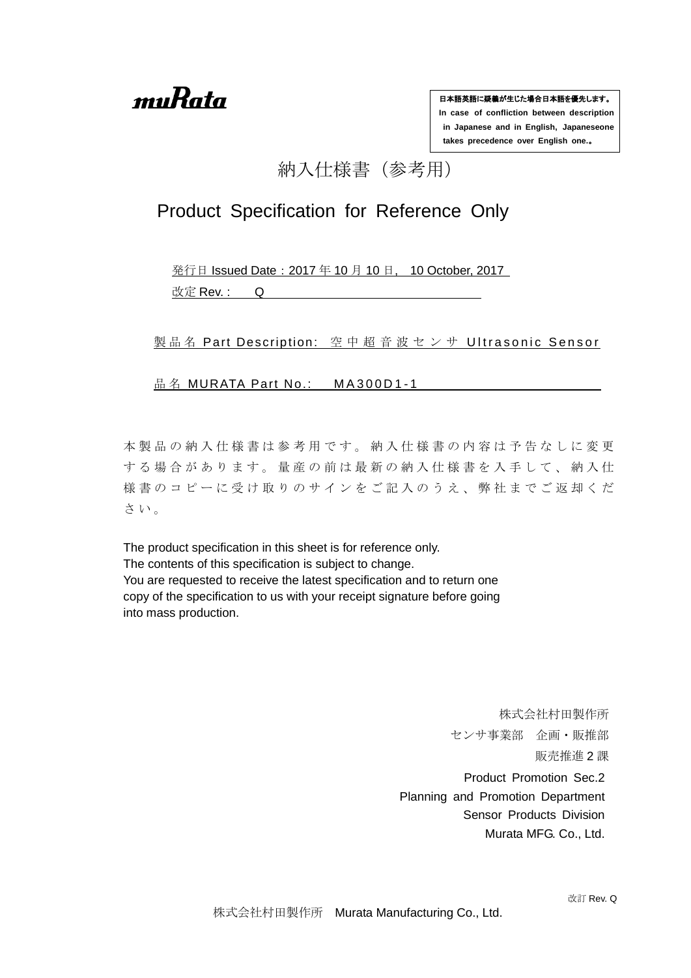muRata

日本語英語に疑義が生じた場合日本語を優先します。 **In case of confliction between description in Japanese and in English, Japaneseone takes precedence over English one.**。

# 納入仕様書(参考用)

# Product Specification for Reference Only

発行日 Issued Date:2017 年 10 月 10 日, 10 October, 2017 改定 Rev.: Q

製 品 名 Part Description: 空 中 超 音 波 セ ン サ Ultrasonic Sensor

品名 MURATA Part No.: MA300D1-1

本製品の納入仕様書は参考用です。納入仕様書の内容は予告なしに変更 する場合があります。量産の前は最新の納入仕様書を入手して、納入仕 様書のコピーに受け取りのサインをご記入のうえ、弊社までご返却くだ さ い 。

The product specification in this sheet is for reference only. The contents of this specification is subject to change. You are requested to receive the latest specification and to return one copy of the specification to us with your receipt signature before going into mass production.

> 株式会社村田製作所 センサ事業部 企画・販推部 販売推進 2 課 Product Promotion Sec.2 Planning and Promotion Department Sensor Products Division Murata MFG. Co., Ltd.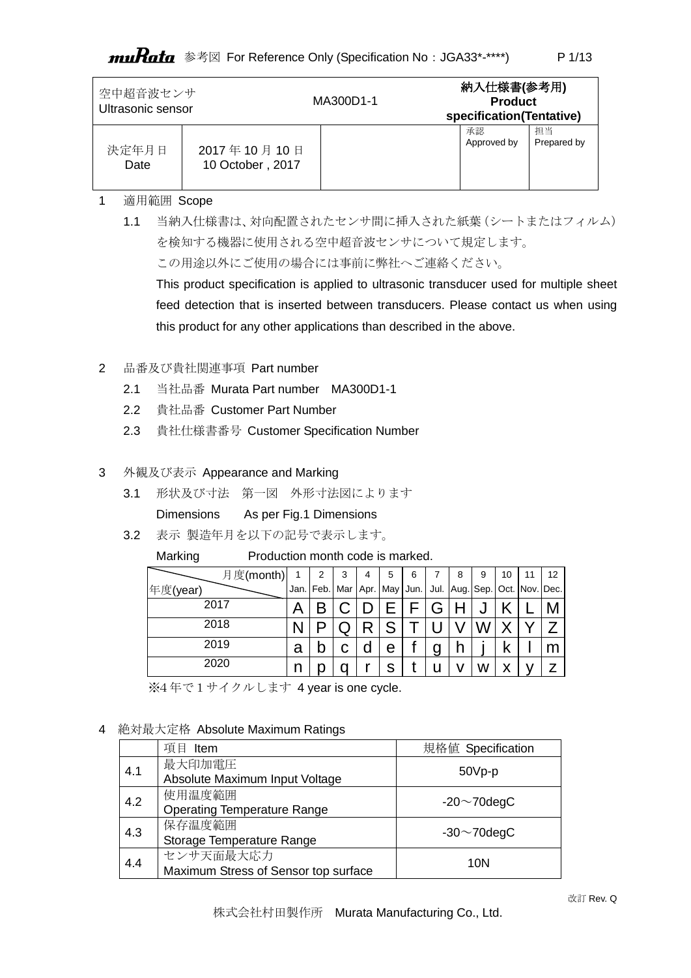# muRata 参考図 For Reference Only (Specification No: JGA33\*-\*\*\*\*)

| 空中超音波センサ<br>Ultrasonic sensor |                  | MA300D1-1 | 納入仕様書(参考用)<br><b>Product</b><br>specification(Tentative) |             |
|-------------------------------|------------------|-----------|----------------------------------------------------------|-------------|
| 決定年月日                         | 2017年10月10日      |           | 承認                                                       | 担当          |
| Date                          | 10 October, 2017 |           | Approved by                                              | Prepared by |

# 1 適用範囲 Scope

1.1 当納入仕様書は、対向配置されたセンサ間に挿入された紙葉(シートまたはフィルム) を検知する機器に使用される空中超音波センサについて規定します。 この用途以外にご使用の場合には事前に弊社へご連絡ください。 This product specification is applied to ultrasonic transducer used for multiple sheet feed detection that is inserted between transducers. Please contact us when using

this product for any other applications than described in the above.

### 2 品番及び貴社関連事項 Part number

- 2.1 当社品番 Murata Part number MA300D1-1
- 2.2 貴社品番 Customer Part Number
- 2.3 貴社仕様書番号 Customer Specification Number

### 3 外観及び表示 Appearance and Marking

3.1 形状及び寸法 第一図 外形寸法図によります

Dimensions As per Fig.1 Dimensions

3.2 表示 製造年月を以下の記号で表示します。

Marking Production month code is marked.

| 月度(month) |   | 2 | 3 | 4 | 5 | 6                                                                               |   | 8 | 9 | 10 | 11 | 12 |
|-----------|---|---|---|---|---|---------------------------------------------------------------------------------|---|---|---|----|----|----|
| 年度(year)  |   |   |   |   |   | Jan.   Feb.   Mar   Apr.   May   Jun.   Jul.   Aug.   Sep.   Oct.   Nov.   Dec. |   |   |   |    |    |    |
| 2017      |   |   |   |   |   |                                                                                 | G |   | u |    |    |    |
| 2018      |   |   |   |   | c |                                                                                 |   |   |   |    |    |    |
| 2019      | a |   | C | d | е |                                                                                 | g |   |   |    |    |    |
| 2020      |   |   |   |   | S |                                                                                 |   |   | w | х  |    |    |

※4年で1サイクルします 4 year is one cycle.

### 4 絶対最大定格 Absolute Maximum Ratings

|     | 項目 Item                                           | 規格値 Specification  |
|-----|---------------------------------------------------|--------------------|
| 4.1 | 最大印加電圧<br>Absolute Maximum Input Voltage          | $50Vp-p$           |
| 4.2 | 使用温度範囲<br><b>Operating Temperature Range</b>      | $-20 \sim 70$ degC |
| 4.3 | 保存温度範囲<br>Storage Temperature Range               | $-30 \sim 70$ degC |
| 4.4 | センサ天面最大応力<br>Maximum Stress of Sensor top surface | 10N                |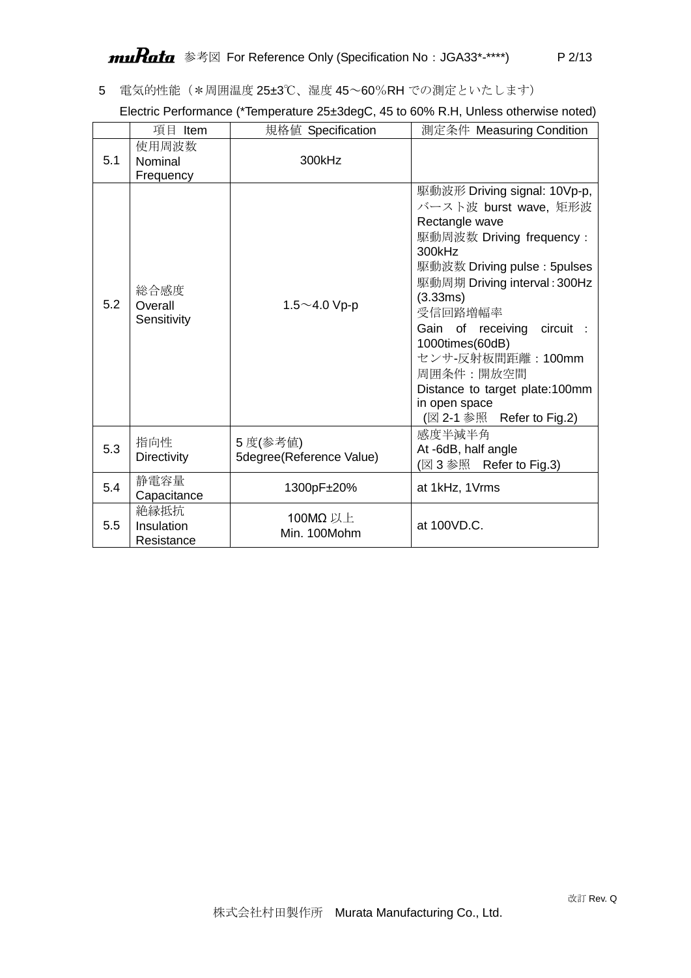5 電気的性能(\*周囲温度 25±3℃、湿度 45~60%RH での測定といたします)

| Electric Performance (*Temperature 25±3degC, 45 to 60% R.H, Unless otherwise noted) |  |
|-------------------------------------------------------------------------------------|--|
|                                                                                     |  |

|     | 項目 Item                          | 規格値 Specification                    | 測定条件 Measuring Condition                                                                                                                                                                                                                                                                                                                                                   |
|-----|----------------------------------|--------------------------------------|----------------------------------------------------------------------------------------------------------------------------------------------------------------------------------------------------------------------------------------------------------------------------------------------------------------------------------------------------------------------------|
| 5.1 | 使用周波数<br>Nominal<br>Frequency    | 300kHz                               |                                                                                                                                                                                                                                                                                                                                                                            |
| 5.2 | 総合感度<br>Overall<br>Sensitivity   | 1.5 $\sim$ 4.0 Vp-p                  | 駆動波形 Driving signal: 10Vp-p,<br>バースト波 burst wave, 矩形波<br>Rectangle wave<br>駆動周波数 Driving frequency:<br>300kHz<br>駆動波数 Driving pulse: 5pulses<br>駆動周期 Driving interval: 300Hz<br>(3.33ms)<br>受信回路増幅率<br>Gain of receiving<br>circuit :<br>1000times(60dB)<br>センサ-反射板間距離: 100mm<br>周囲条件:開放空間<br>Distance to target plate:100mm<br>in open space<br>(図 2-1 参照 Refer to Fig.2) |
| 5.3 | 指向性<br><b>Directivity</b>        | 5 度(参考値)<br>5degree(Reference Value) | 感度半減半角<br>At -6dB, half angle<br>(図3参照<br>Refer to Fig.3)                                                                                                                                                                                                                                                                                                                  |
| 5.4 | 静電容量<br>Capacitance              | 1300pF±20%                           | at 1kHz, 1Vrms                                                                                                                                                                                                                                                                                                                                                             |
| 5.5 | 絶縁抵抗<br>Insulation<br>Resistance | 100MΩ 以上<br>Min. 100Mohm             | at 100VD.C.                                                                                                                                                                                                                                                                                                                                                                |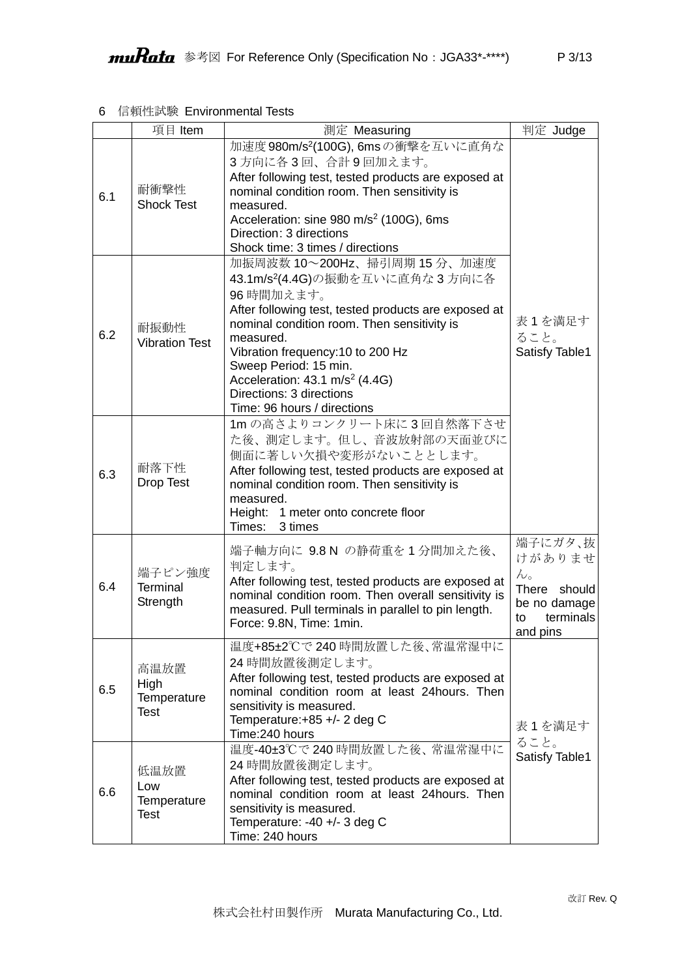# 6 信頼性試験 Environmental Tests

|     | 項目 Item                                   | 測定 Measuring                                                                                                                                                                                                                                                                                                                                                                      | 判定 Judge                                                                                        |
|-----|-------------------------------------------|-----------------------------------------------------------------------------------------------------------------------------------------------------------------------------------------------------------------------------------------------------------------------------------------------------------------------------------------------------------------------------------|-------------------------------------------------------------------------------------------------|
| 6.1 | 耐衝撃性<br><b>Shock Test</b>                 | 加速度 980m/s <sup>2</sup> (100G), 6msの衝撃を互いに直角な<br>3方向に各3回、合計9回加えます。<br>After following test, tested products are exposed at<br>nominal condition room. Then sensitivity is<br>measured.<br>Acceleration: sine 980 m/s <sup>2</sup> (100G), 6ms<br>Direction: 3 directions<br>Shock time: 3 times / directions                                                                      |                                                                                                 |
| 6.2 | 耐振動性<br><b>Vibration Test</b>             | 加振周波数 10~200Hz、掃引周期 15分、加速度<br>43.1m/s <sup>2</sup> (4.4G)の振動を互いに直角な3方向に各<br>96 時間加えます。<br>After following test, tested products are exposed at<br>nominal condition room. Then sensitivity is<br>measured.<br>Vibration frequency: 10 to 200 Hz<br>Sweep Period: 15 min.<br>Acceleration: $43.1 \text{ m/s}^2$ (4.4G)<br>Directions: 3 directions<br>Time: 96 hours / directions | 表1を満足す<br>ること。<br>Satisfy Table1                                                                |
| 6.3 | 耐落下性<br><b>Drop Test</b>                  | 1mの高さよりコンクリート床に3回自然落下させ<br>た後、測定します。但し、音波放射部の天面並びに<br>側面に著しい欠損や変形がないこととします。<br>After following test, tested products are exposed at<br>nominal condition room. Then sensitivity is<br>measured.<br>Height: 1 meter onto concrete floor<br>Times:<br>3 times                                                                                                                       |                                                                                                 |
| 6.4 | 端子ピン強度<br><b>Terminal</b><br>Strength     | 端子軸方向に 9.8 N の静荷重を1分間加えた後、<br>判定します。<br>After following test, tested products are exposed at<br>nominal condition room. Then overall sensitivity is<br>measured. Pull terminals in parallel to pin length.<br>Force: 9.8N, Time: 1min.                                                                                                                                            | 端子にガタ、抜<br>けがありませ<br>$h_{\circ}$<br>There should<br>be no damage<br>terminals<br>to<br>and pins |
| 6.5 | 高温放置<br>High<br>Temperature<br>Test       | 温度+85±2℃で240時間放置した後、常温常湿中に<br>24 時間放置後測定します。<br>After following test, tested products are exposed at<br>nominal condition room at least 24hours. Then<br>sensitivity is measured.<br>Temperature: +85 +/- 2 deg C<br>Time: 240 hours                                                                                                                                              | 表1を満足す<br>ること。                                                                                  |
| 6.6 | 低温放置<br>Low<br>Temperature<br><b>Test</b> | 温度-40±3℃で240時間放置した後、常温常湿中に<br>24 時間放置後測定します。<br>After following test, tested products are exposed at<br>nominal condition room at least 24hours. Then<br>sensitivity is measured.<br>Temperature: -40 +/- 3 deg C<br>Time: 240 hours                                                                                                                                              | Satisfy Table1                                                                                  |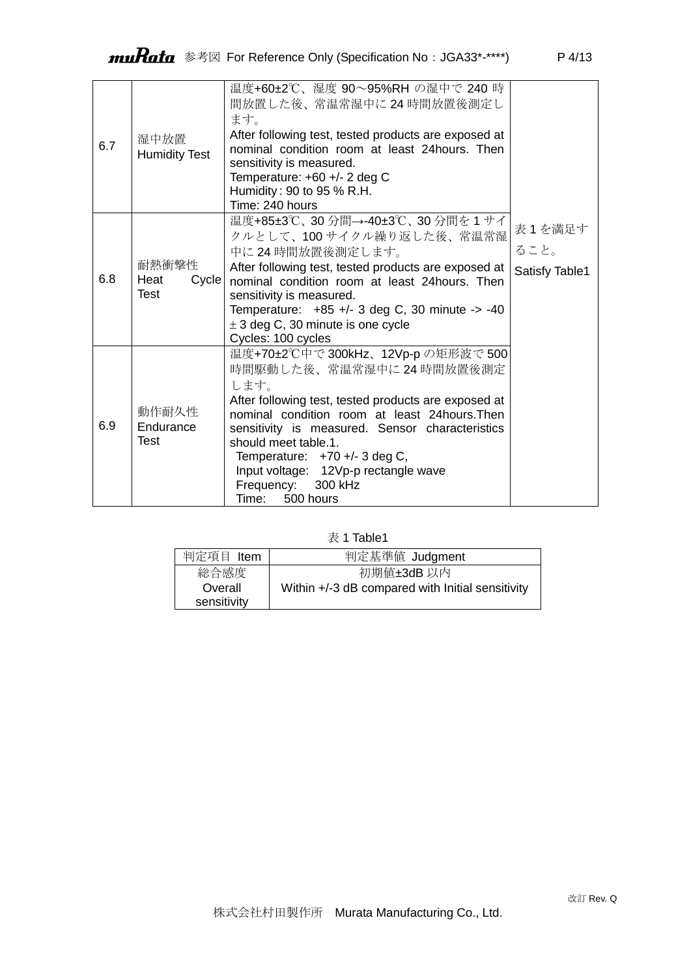| 6.7 | 湿中放置<br><b>Humidity Test</b>          | 温度+60±2℃、湿度 90~95%RH の湿中で 240 時<br>間放置した後、常温常湿中に24時間放置後測定し<br>ます。<br>After following test, tested products are exposed at<br>nominal condition room at least 24 hours. Then<br>sensitivity is measured.<br>Temperature: $+60 +/- 2$ deg C<br>Humidity: 90 to 95 % R.H.<br>Time: 240 hours                                                                                      |                                  |
|-----|---------------------------------------|--------------------------------------------------------------------------------------------------------------------------------------------------------------------------------------------------------------------------------------------------------------------------------------------------------------------------------------------------------------------------------|----------------------------------|
| 6.8 | 耐熱衝撃性<br>Heat<br>Cycle<br><b>Test</b> | 温度+85±3℃、30分間→-40±3℃、30分間を1サイ<br>クルとして、100サイクル繰り返した後、常温常湿<br>中に24時間放置後測定します。<br>After following test, tested products are exposed at<br>nominal condition room at least 24hours. Then<br>sensitivity is measured.<br>Temperature: $+85$ +/- 3 deg C, 30 minute -> -40<br>$\pm$ 3 deg C, 30 minute is one cycle<br>Cycles: 100 cycles                                           | 表1を満足す<br>ること。<br>Satisfy Table1 |
| 6.9 | 動作耐久性<br>Endurance<br>Test            | 温度+70±2℃中で300kHz、12Vp-pの矩形波で500<br>時間駆動した後、常温常湿中に24時間放置後測定<br>します。<br>After following test, tested products are exposed at<br>nominal condition room at least 24 hours. Then<br>sensitivity is measured. Sensor characteristics<br>should meet table 1.<br>Temperature: $+70$ +/- 3 deg C,<br>Input voltage: 12Vp-p rectangle wave<br>Frequency: 300 kHz<br>Time:<br>500 hours |                                  |

表 1 Table1

| 判定項目 Item   | 判定基準値 Judgment                                   |
|-------------|--------------------------------------------------|
| 総合感度        | 初期値±3dB 以内                                       |
| Overall     | Within +/-3 dB compared with Initial sensitivity |
| sensitivity |                                                  |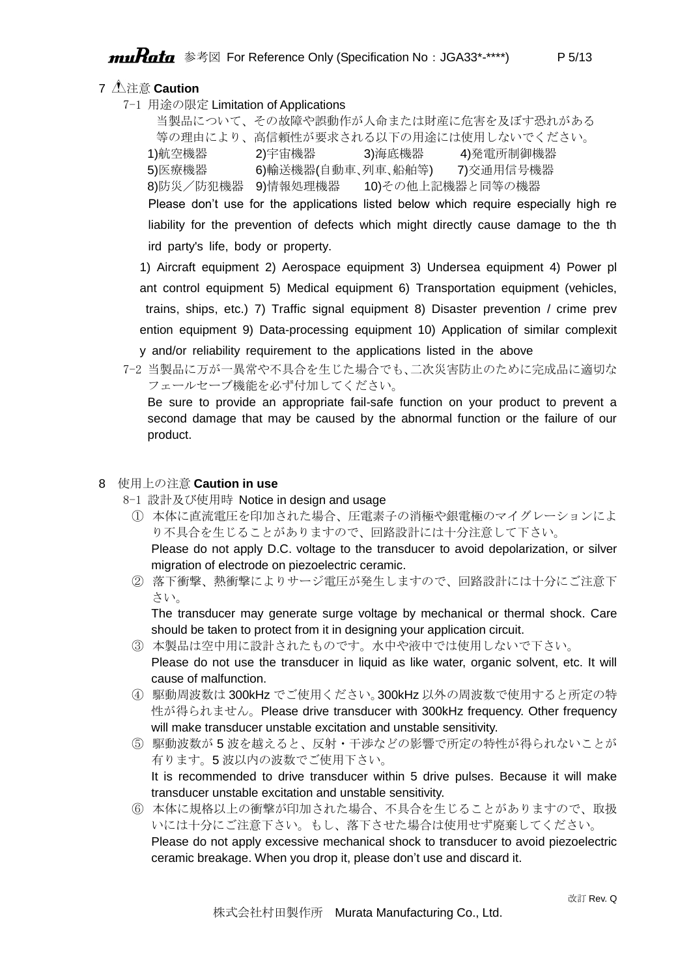# 7 注意 **Caution**

7-1 用途の限定 Limitation of Applications

当製品について、その故障や誤動作が人命または財産に危害を及ぼす恐れがある 等の理由により、高信頼性が要求される以下の用途には使用しないでください。 1)航空機器 2)宇宙機器 3)海底機器 4)発電所制御機器 5)医療機器 6)輸送機器(自動車、列車、船舶等) 7)交通用信号機器 8)防災/防犯機器 9)情報処理機器 10)その他上記機器と同等の機器 Please don't use for the applications listed below which require especially high re liability for the prevention of defects which might directly cause damage to the th

ird party's life, body or property.

1) Aircraft equipment 2) Aerospace equipment 3) Undersea equipment 4) Power pl ant control equipment 5) Medical equipment 6) Transportation equipment (vehicles, trains, ships, etc.) 7) Traffic signal equipment 8) Disaster prevention / crime prev ention equipment 9) Data-processing equipment 10) Application of similar complexit y and/or reliability requirement to the applications listed in the above

7-2 当製品に万が一異常や不具合を生じた場合でも、二次災害防止のために完成品に適切な フェールセーブ機能を必ず付加してください。

Be sure to provide an appropriate fail-safe function on your product to prevent a second damage that may be caused by the abnormal function or the failure of our product.

#### 8 使用上の注意 **Caution in use**

- 8-1 設計及び使用時 Notice in design and usage
	- ① 本体に直流電圧を印加された場合、圧電素子の消極や銀電極のマイグレーションによ り不具合を生じることがありますので、回路設計には十分注意して下さい。

Please do not apply D.C. voltage to the transducer to avoid depolarization, or silver migration of electrode on piezoelectric ceramic.

② 落下衝撃、熱衝撃によりサージ電圧が発生しますので、回路設計には十分にご注意下 さい。

The transducer may generate surge voltage by mechanical or thermal shock. Care should be taken to protect from it in designing your application circuit.

- ③ 本製品は空中用に設計されたものです。水中や液中では使用しないで下さい。 Please do not use the transducer in liquid as like water, organic solvent, etc. It will cause of malfunction.
- ④ 駆動周波数は 300kHz でご使用ください。300kHz 以外の周波数で使用すると所定の特 性が得られません。Please drive transducer with 300kHz frequency. Other frequency will make transducer unstable excitation and unstable sensitivity.
- ⑤ 駆動波数が 5 波を越えると、反射・干渉などの影響で所定の特性が得られないことが 有ります。5 波以内の波数でご使用下さい。 It is recommended to drive transducer within 5 drive pulses. Because it will make transducer unstable excitation and unstable sensitivity.
- ⑥ 本体に規格以上の衝撃が印加された場合、不具合を生じることがありますので、取扱 いには十分にご注意下さい。もし、落下させた場合は使用せず廃棄してください。 Please do not apply excessive mechanical shock to transducer to avoid piezoelectric ceramic breakage. When you drop it, please don't use and discard it.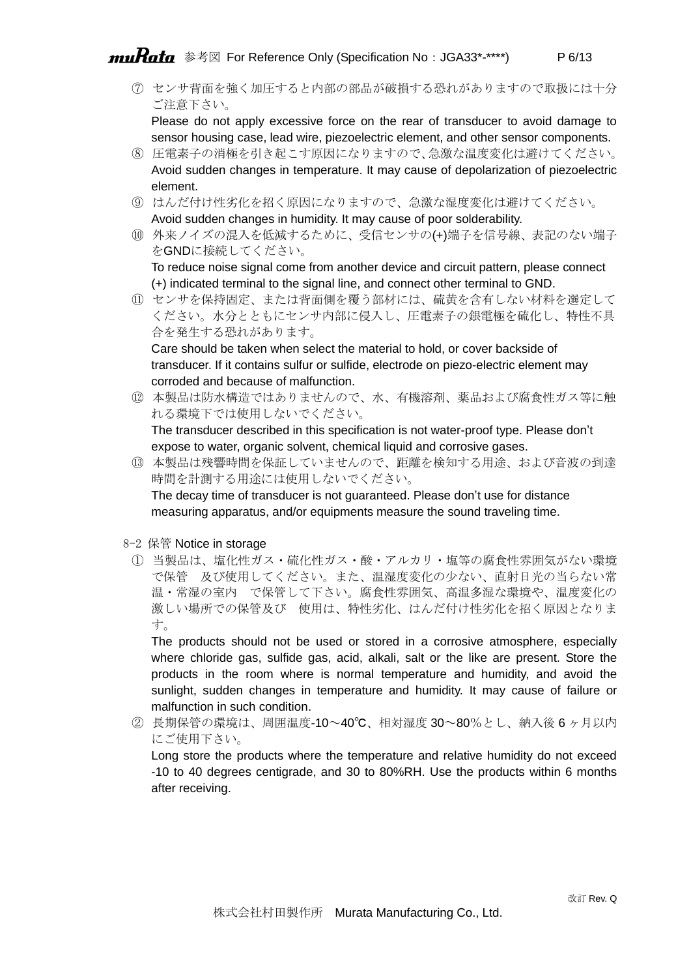# muRata 参考図 For Reference Only (Specification No : JGA33\*-\*\*\*\*) P 6/13

⑦ センサ背面を強く加圧すると内部の部品が破損する恐れがありますので取扱には十分 ご注意下さい。

Please do not apply excessive force on the rear of transducer to avoid damage to sensor housing case, lead wire, piezoelectric element, and other sensor components.

- ⑧ 圧電素子の消極を引き起こす原因になりますので、急激な温度変化は避けてください。 Avoid sudden changes in temperature. It may cause of depolarization of piezoelectric element.
- ⑨ はんだ付け性劣化を招く原因になりますので、急激な湿度変化は避けてください。 Avoid sudden changes in humidity. It may cause of poor solderability.
- ⑩ 外来ノイズの混入を低減するために、受信センサの(+)端子を信号線、表記のない端子 をGNDに接続してください。

To reduce noise signal come from another device and circuit pattern, please connect (+) indicated terminal to the signal line, and connect other terminal to GND.

⑪ センサを保持固定、または背面側を覆う部材には、硫黄を含有しない材料を選定して ください。水分とともにセンサ内部に侵入し、圧電素子の銀電極を硫化し、特性不具 合を発生する恐れがあります。

Care should be taken when select the material to hold, or cover backside of transducer. If it contains sulfur or sulfide, electrode on piezo-electric element may corroded and because of malfunction.

- ⑫ 本製品は防水構造ではありませんので、水、有機溶剤、薬品および腐食性ガス等に触 れる環境下では使用しないでください。 The transducer described in this specification is not water-proof type. Please don't
- expose to water, organic solvent, chemical liquid and corrosive gases. ⑬ 本製品は残響時間を保証していませんので、距離を検知する用途、および音波の到達 時間を計測する用途には使用しないでください。 The decay time of transducer is not guaranteed. Please don't use for distance

measuring apparatus, and/or equipments measure the sound traveling time.

- 8-2 保管 Notice in storage
	- ① 当製品は、塩化性ガス・硫化性ガス・酸・アルカリ・塩等の腐食性雰囲気がない環境 で保管 及び使用してください。また、温湿度変化の少ない、直射日光の当らない常 温・常湿の室内 で保管して下さい。腐食性雰囲気、高温多湿な環境や、温度変化の 激しい場所での保管及び 使用は、特性劣化、はんだ付け性劣化を招く原因となりま す。

The products should not be used or stored in a corrosive atmosphere, especially where chloride gas, sulfide gas, acid, alkali, salt or the like are present. Store the products in the room where is normal temperature and humidity, and avoid the sunlight, sudden changes in temperature and humidity. It may cause of failure or malfunction in such condition.

② 長期保管の環境は、周囲温度-10~40℃、相対湿度 30~80%とし、納入後 6 ヶ月以内 にご使用下さい。

Long store the products where the temperature and relative humidity do not exceed -10 to 40 degrees centigrade, and 30 to 80%RH. Use the products within 6 months after receiving.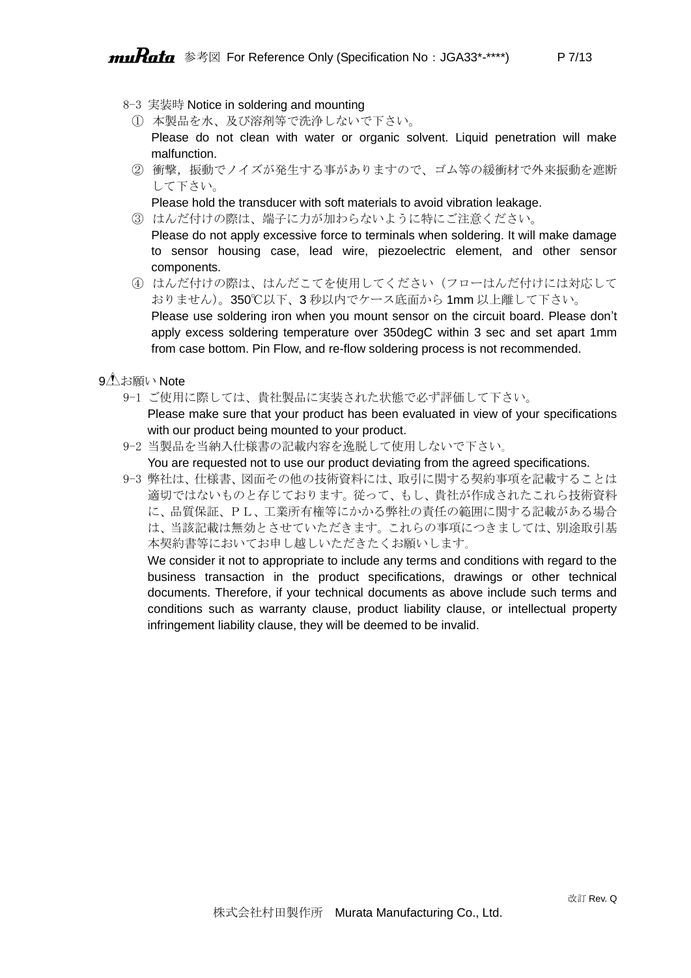- 8-3 実装時 Notice in soldering and mounting
	- ① 本製品を水、及び溶剤等で洗浄しないで下さい。

Please do not clean with water or organic solvent. Liquid penetration will make malfunction.

② 衝撃,振動でノイズが発生する事がありますので、ゴム等の緩衝材で外来振動を遮断 して下さい。

Please hold the transducer with soft materials to avoid vibration leakage.

- ③ はんだ付けの際は、端子に力が加わらないように特にご注意ください。 Please do not apply excessive force to terminals when soldering. It will make damage to sensor housing case, lead wire, piezoelectric element, and other sensor components.
- ④ はんだ付けの際は、はんだこてを使用してください(フローはんだ付けには対応して おりません)。350℃以下、3 秒以内でケース底面から 1mm 以上離して下さい。 Please use soldering iron when you mount sensor on the circuit board. Please don't apply excess soldering temperature over 350degC within 3 sec and set apart 1mm from case bottom. Pin Flow, and re-flow soldering process is not recommended.
- 9<sup>1</sup>お願い Note
	- 9-1 ご使用に際しては、貴社製品に実装された状態で必ず評価して下さい。 Please make sure that your product has been evaluated in view of your specifications with our product being mounted to your product.
	- 9-2 当製品を当納入仕様書の記載内容を逸脱して使用しないで下さい。 You are requested not to use our product deviating from the agreed specifications.
	- 9-3 弊社は、仕様書、図面その他の技術資料には、取引に関する契約事項を記載することは 適切ではないものと存じております。従って、もし、貴社が作成されたこれら技術資料 に、品質保証、PL、工業所有権等にかかる弊社の責任の範囲に関する記載がある場合 は、当該記載は無効とさせていただきます。これらの事項につきましては、別途取引基 本契約書等においてお申し越しいただきたくお願いします。

We consider it not to appropriate to include any terms and conditions with regard to the business transaction in the product specifications, drawings or other technical documents. Therefore, if your technical documents as above include such terms and conditions such as warranty clause, product liability clause, or intellectual property infringement liability clause, they will be deemed to be invalid.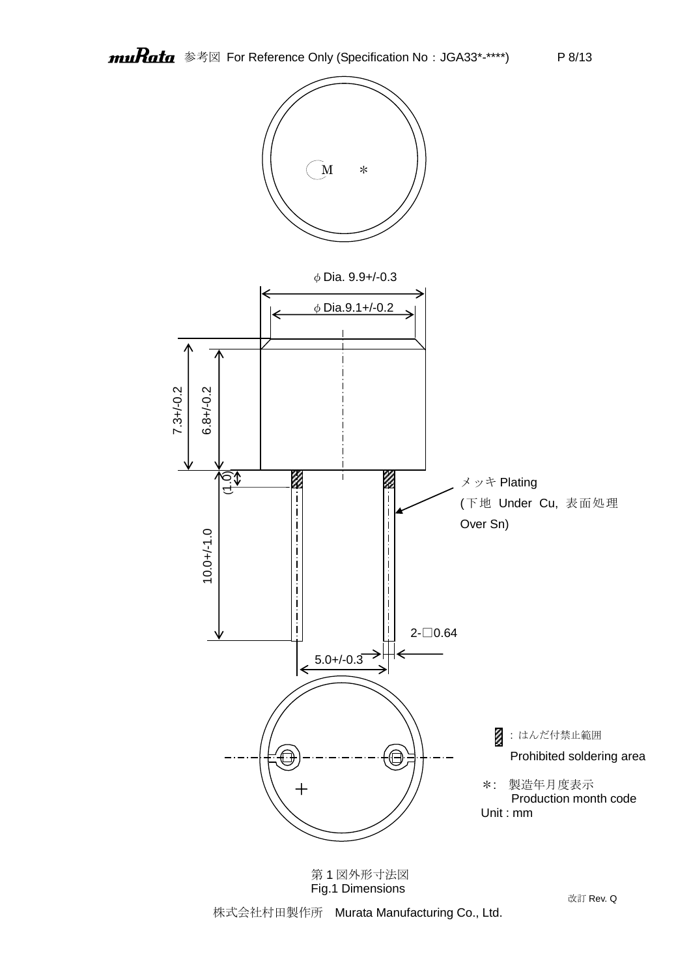

第 1 図外形寸法図 Fig.1 Dimensions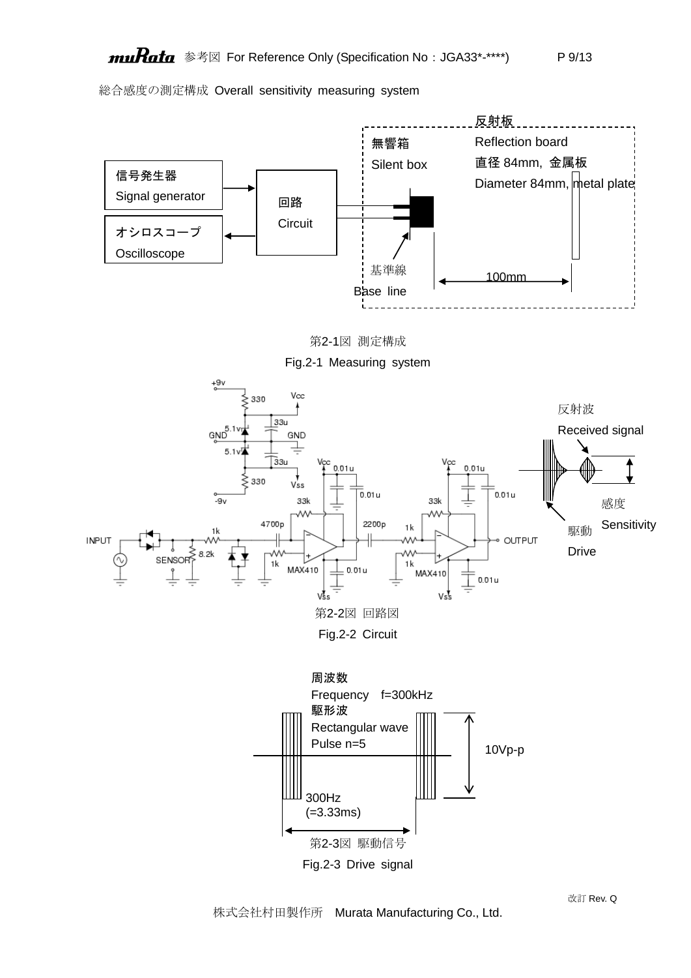総合感度の測定構成 Overall sensitivity measuring system



株式会社村田製作所 Murata Manufacturing Co., Ltd.

改訂 Rev. Q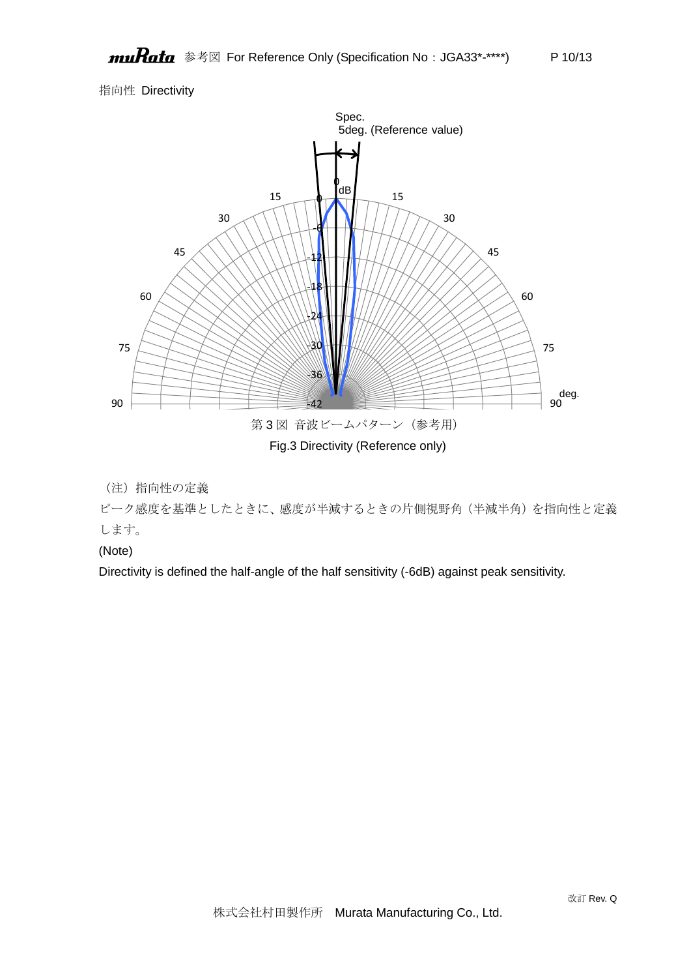# 指向性 Directivity



# (注)指向性の定義

ピーク感度を基準としたときに、感度が半減するときの片側視野角(半減半角)を指向性と定義 します。

### (Note)

Directivity is defined the half-angle of the half sensitivity (-6dB) against peak sensitivity.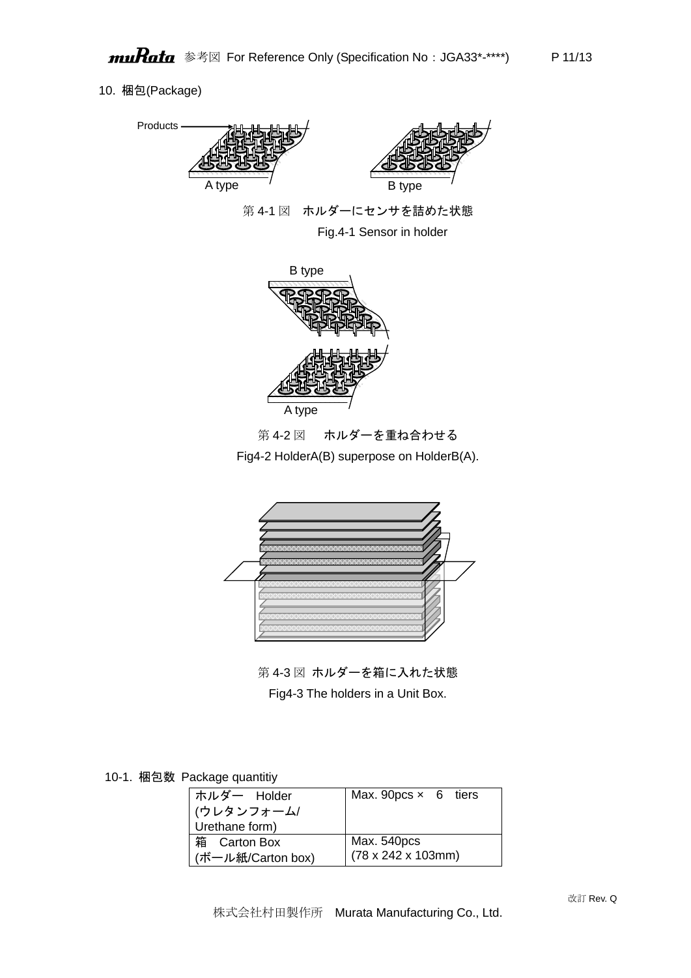### 10. 梱包(Package)



第 4-1 図 ホルダーにセンサを詰めた状態 Fig.4-1 Sensor in holder



第 4-2 図 ホルダーを重ね合わせる

Fig4-2 HolderA(B) superpose on HolderB(A).



第 4-3 図 ホルダーを箱に入れた状態 Fig4-3 The holders in a Unit Box.

10-1. 梱包数 Package quantitiy

| ホルダー Holder<br>(ウレタンフォーム/<br>Urethane form) | Max. 90pcs $\times$ 6 tiers            |
|---------------------------------------------|----------------------------------------|
| 箱 Carton Box                                | Max. 540pcs                            |
| (ボール紙/Carton box)                           | $(78 \times 242 \times 103 \text{mm})$ |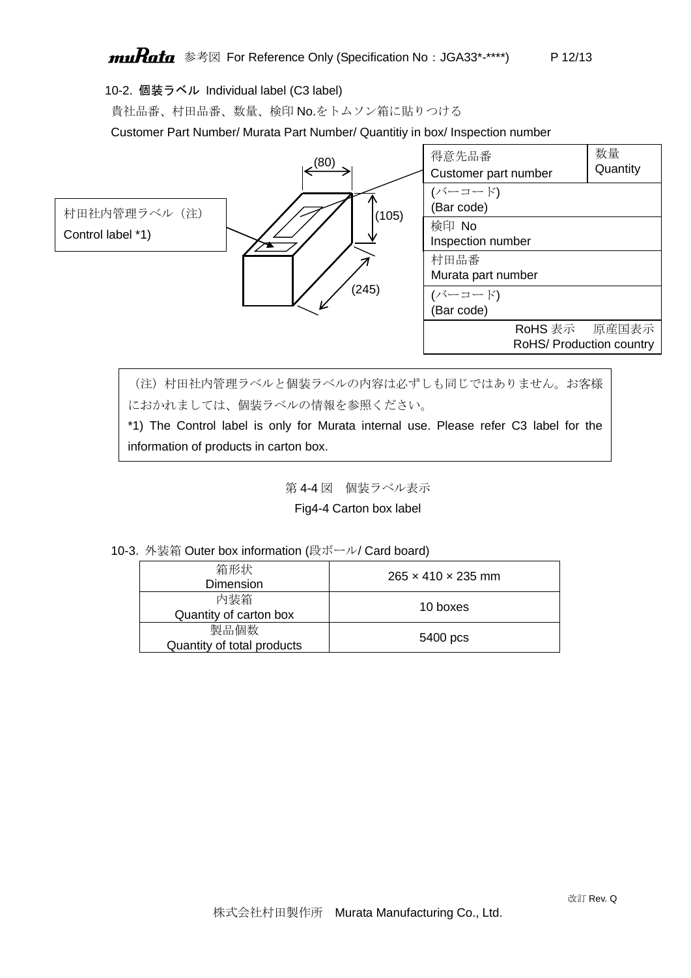10-2. 個装ラベル Individual label (C3 label)

貴社品番、村田品番、数量、検印 No.をトムソン箱に貼りつける

Customer Part Number/ Murata Part Number/ Quantitiy in box/ Inspection number



(注)村田社内管理ラベルと個装ラベルの内容は必ずしも同じではありません。お客様 におかれましては、個装ラベルの情報を参照ください。

\*1) The Control label is only for Murata internal use. Please refer C3 label for the information of products in carton box.

第 4-4 図 個装ラベル表示

Fig4-4 Carton box label

|  |  |  |  |  | 10-3. 外装箱 Outer box information (段ボール/ Card board) |
|--|--|--|--|--|----------------------------------------------------|
|--|--|--|--|--|----------------------------------------------------|

| 箱形状<br>Dimension                   | $265 \times 410 \times 235$ mm |
|------------------------------------|--------------------------------|
| 内装箱<br>Quantity of carton box      | 10 boxes                       |
| 製品個数<br>Quantity of total products | 5400 pcs                       |